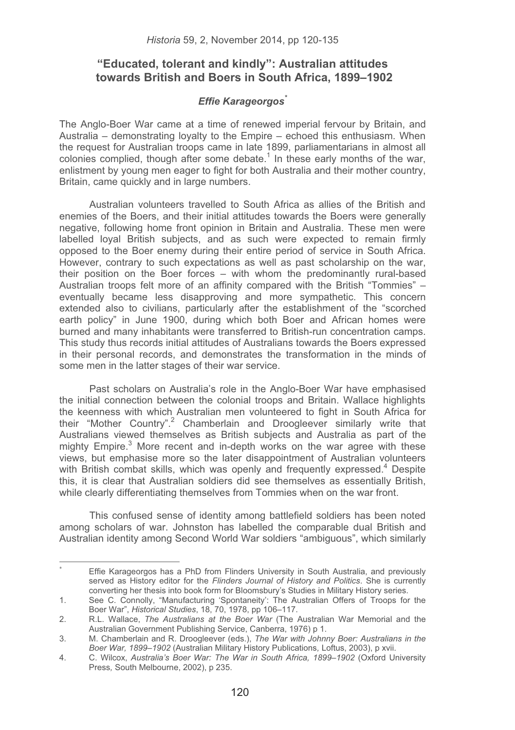# **"Educated, tolerant and kindly": Australian attitudes towards British and Boers in South Africa, 1899–1902**

## *Effie Karageorgos\**

The Anglo-Boer War came at a time of renewed imperial fervour by Britain, and Australia – demonstrating loyalty to the Empire – echoed this enthusiasm. When the request for Australian troops came in late 1899, parliamentarians in almost all colonies complied, though after some debate.<sup>1</sup> In these early months of the war, enlistment by young men eager to fight for both Australia and their mother country. Britain, came quickly and in large numbers.

Australian volunteers travelled to South Africa as allies of the British and enemies of the Boers, and their initial attitudes towards the Boers were generally negative, following home front opinion in Britain and Australia. These men were labelled loyal British subjects, and as such were expected to remain firmly opposed to the Boer enemy during their entire period of service in South Africa. However, contrary to such expectations as well as past scholarship on the war, their position on the Boer forces – with whom the predominantly rural-based Australian troops felt more of an affinity compared with the British "Tommies" – eventually became less disapproving and more sympathetic. This concern extended also to civilians, particularly after the establishment of the "scorched earth policy" in June 1900, during which both Boer and African homes were burned and many inhabitants were transferred to British-run concentration camps. This study thus records initial attitudes of Australians towards the Boers expressed in their personal records, and demonstrates the transformation in the minds of some men in the latter stages of their war service.

Past scholars on Australia's role in the Anglo-Boer War have emphasised the initial connection between the colonial troops and Britain. Wallace highlights the keenness with which Australian men volunteered to fight in South Africa for their "Mother Country".<sup>2</sup> Chamberlain and Droogleever similarly write that Australians viewed themselves as British subjects and Australia as part of the mighty Empire.<sup>3</sup> More recent and in-depth works on the war agree with these views, but emphasise more so the later disappointment of Australian volunteers with British combat skills, which was openly and frequently expressed.<sup>4</sup> Despite this, it is clear that Australian soldiers did see themselves as essentially British, while clearly differentiating themselves from Tommies when on the war front.

This confused sense of identity among battlefield soldiers has been noted among scholars of war. Johnston has labelled the comparable dual British and Australian identity among Second World War soldiers "ambiguous", which similarly

<sup>\*</sup> Effie Karageorgos has a PhD from Flinders University in South Australia, and previously served as History editor for the *Flinders Journal of History and Politics*. She is currently converting her thesis into book form for Bloomsbury's Studies in Military History series.

<sup>1.</sup> See C. Connolly, "Manufacturing 'Spontaneity': The Australian Offers of Troops for the Boer War", *Historical Studies*, 18, 70, 1978, pp 106–117.

<sup>2.</sup> R.L. Wallace, *The Australians at the Boer War* (The Australian War Memorial and the Australian Government Publishing Service, Canberra, 1976) p 1.

<sup>3.</sup> M. Chamberlain and R. Droogleever (eds.), *The War with Johnny Boer: Australians in the Boer War, 1899*–*1902* (Australian Military History Publications*,* Loftus, 2003), p xvii.

<sup>4.</sup> C. Wilcox, *Australia's Boer War: The War in South Africa, 1899*–*1902* (Oxford University Press*,* South Melbourne, 2002), p 235.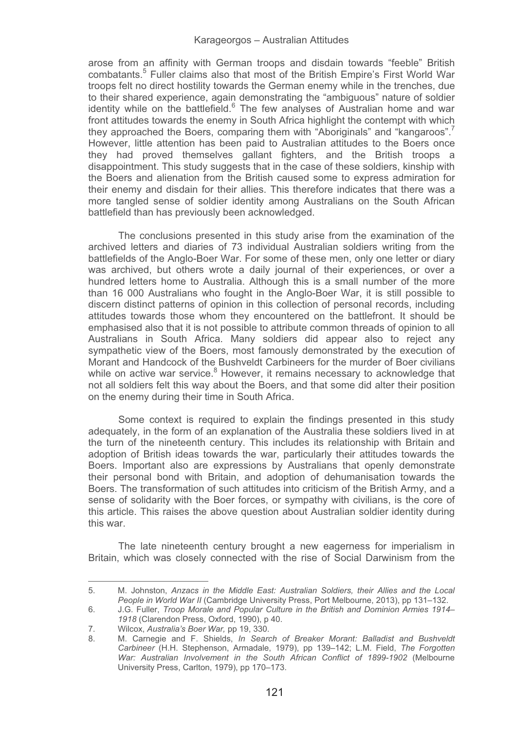arose from an affinity with German troops and disdain towards "feeble" British combatants.<sup>5</sup> Fuller claims also that most of the British Empire's First World War troops felt no direct hostility towards the German enemy while in the trenches, due to their shared experience, again demonstrating the "ambiguous" nature of soldier identity while on the battlefield.<sup>6</sup> The few analyses of Australian home and war front attitudes towards the enemy in South Africa highlight the contempt with which they approached the Boers, comparing them with "Aboriginals" and "kangaroos".<sup>7</sup> However, little attention has been paid to Australian attitudes to the Boers once they had proved themselves gallant fighters, and the British troops a disappointment. This study suggests that in the case of these soldiers, kinship with the Boers and alienation from the British caused some to express admiration for their enemy and disdain for their allies. This therefore indicates that there was a more tangled sense of soldier identity among Australians on the South African battlefield than has previously been acknowledged.

The conclusions presented in this study arise from the examination of the archived letters and diaries of 73 individual Australian soldiers writing from the battlefields of the Anglo-Boer War. For some of these men, only one letter or diary was archived, but others wrote a daily journal of their experiences, or over a hundred letters home to Australia. Although this is a small number of the more than 16 000 Australians who fought in the Anglo-Boer War, it is still possible to discern distinct patterns of opinion in this collection of personal records, including attitudes towards those whom they encountered on the battlefront. It should be emphasised also that it is not possible to attribute common threads of opinion to all Australians in South Africa. Many soldiers did appear also to reject any sympathetic view of the Boers, most famously demonstrated by the execution of Morant and Handcock of the Bushveldt Carbineers for the murder of Boer civilians while on active war service.<sup>8</sup> However, it remains necessary to acknowledge that not all soldiers felt this way about the Boers, and that some did alter their position on the enemy during their time in South Africa.

Some context is required to explain the findings presented in this study adequately, in the form of an explanation of the Australia these soldiers lived in at the turn of the nineteenth century. This includes its relationship with Britain and adoption of British ideas towards the war, particularly their attitudes towards the Boers. Important also are expressions by Australians that openly demonstrate their personal bond with Britain, and adoption of dehumanisation towards the Boers. The transformation of such attitudes into criticism of the British Army, and a sense of solidarity with the Boer forces, or sympathy with civilians, is the core of this article. This raises the above question about Australian soldier identity during this war.

The late nineteenth century brought a new eagerness for imperialism in Britain, which was closely connected with the rise of Social Darwinism from the

<sup>5.</sup> M. Johnston, *Anzacs in the Middle East: Australian Soldiers, their Allies and the Local People in World War II* (Cambridge University Press, Port Melbourne, 2013), pp 131–132.

<sup>6.</sup> J.G. Fuller, *Troop Morale and Popular Culture in the British and Dominion Armies 1914*– *1918* (Clarendon Press, Oxford, 1990), p 40.

<sup>7.</sup> Wilcox, *Australia's Boer War,* pp 19, 330.

<sup>8.</sup> M. Carnegie and F. Shields, *In Search of Breaker Morant: Balladist and Bushveldt Carbineer* (H.H. Stephenson, Armadale, 1979), pp 139–142; L.M. Field, *The Forgotten War: Australian Involvement in the South African Conflict of 1899-1902* (Melbourne University Press, Carlton, 1979), pp 170–173.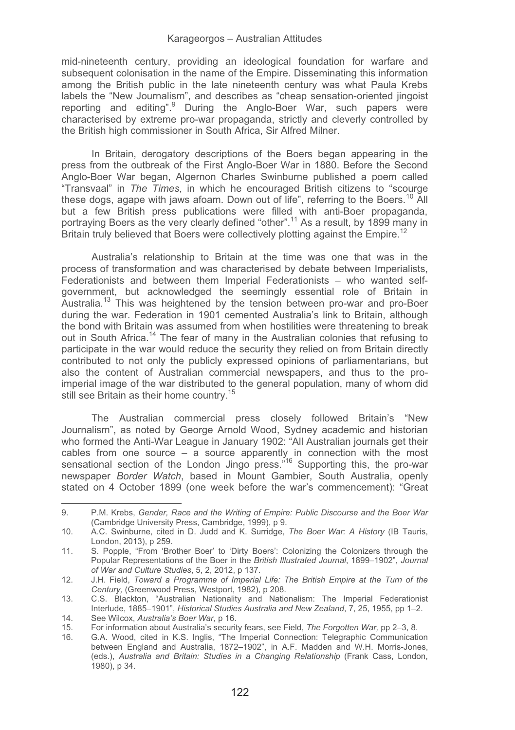mid-nineteenth century, providing an ideological foundation for warfare and subsequent colonisation in the name of the Empire. Disseminating this information among the British public in the late nineteenth century was what Paula Krebs labels the "New Journalism", and describes as "cheap sensation-oriented jingoist reporting and editing". During the Anglo-Boer War, such papers were characterised by extreme pro-war propaganda, strictly and cleverly controlled by the British high commissioner in South Africa, Sir Alfred Milner.

In Britain, derogatory descriptions of the Boers began appearing in the press from the outbreak of the First Anglo-Boer War in 1880. Before the Second Anglo-Boer War began, Algernon Charles Swinburne published a poem called "Transvaal" in *The Times*, in which he encouraged British citizens to "scourge these dogs, agape with jaws afoam. Down out of life", referring to the Boers.<sup>10</sup> All but a few British press publications were filled with anti-Boer propaganda, portraying Boers as the very clearly defined "other".<sup>11</sup> As a result, by 1899 many in Britain truly believed that Boers were collectively plotting against the Empire.<sup>12</sup>

Australia's relationship to Britain at the time was one that was in the process of transformation and was characterised by debate between Imperialists, Federationists and between them Imperial Federationists – who wanted selfgovernment, but acknowledged the seemingly essential role of Britain in Australia.<sup>13</sup> This was heightened by the tension between pro-war and pro-Boer during the war. Federation in 1901 cemented Australia's link to Britain, although the bond with Britain was assumed from when hostilities were threatening to break out in South Africa.14 The fear of many in the Australian colonies that refusing to participate in the war would reduce the security they relied on from Britain directly contributed to not only the publicly expressed opinions of parliamentarians, but also the content of Australian commercial newspapers, and thus to the proimperial image of the war distributed to the general population, many of whom did still see Britain as their home country.<sup>15</sup>

The Australian commercial press closely followed Britain's "New Journalism", as noted by George Arnold Wood, Sydney academic and historian who formed the Anti-War League in January 1902: "All Australian journals get their cables from one source – a source apparently in connection with the most sensational section of the London Jingo press.<sup>"16</sup> Supporting this, the pro-war newspaper *Border Watch*, based in Mount Gambier, South Australia, openly stated on 4 October 1899 (one week before the war's commencement): "Great

L

<sup>9.</sup> P.M. Krebs, *Gender, Race and the Writing of Empire: Public Discourse and the Boer War* (Cambridge University Press, Cambridge, 1999), p 9.

<sup>10.</sup> A.C. Swinburne, cited in D. Judd and K. Surridge, *The Boer War: A History* (IB Tauris, London, 2013), p 259.

<sup>11.</sup> S. Popple, "From 'Brother Boer' to 'Dirty Boers': Colonizing the Colonizers through the Popular Representations of the Boer in the *British Illustrated Journal*, 1899–1902", *Journal of War and Culture Studies*, 5, 2, 2012, p 137.

<sup>12.</sup> J.H. Field, *Toward a Programme of Imperial Life: The British Empire at the Turn of the Century,* (Greenwood Press, Westport, 1982), p 208.

<sup>13.</sup> C.S. Blackton, "Australian Nationality and Nationalism: The Imperial Federationist Interlude, 1885–1901", *Historical Studies Australia and New Zealand*, 7, 25, 1955, pp 1–2.

<sup>14.</sup> See Wilcox, *Australia's Boer War,* p 16.

<sup>15.</sup> For information about Australia's security fears, see Field, *The Forgotten War,* pp 2–3, 8.

<sup>16.</sup> G.A. Wood, cited in K.S. Inglis, "The Imperial Connection: Telegraphic Communication between England and Australia, 1872–1902", in A.F. Madden and W.H. Morris-Jones, (eds.), *Australia and Britain: Studies in a Changing Relationship* (Frank Cass, London, 1980), p 34.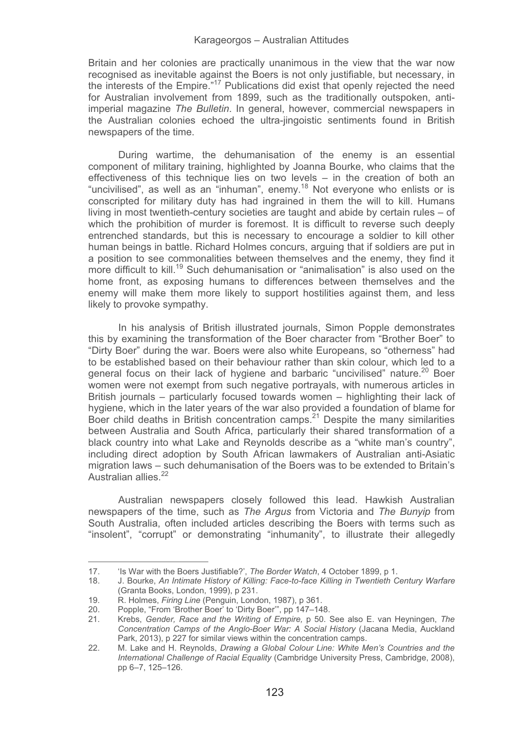Britain and her colonies are practically unanimous in the view that the war now recognised as inevitable against the Boers is not only justifiable, but necessary, in the interests of the Empire."17 Publications did exist that openly rejected the need for Australian involvement from 1899, such as the traditionally outspoken, antiimperial magazine *The Bulletin*. In general, however, commercial newspapers in the Australian colonies echoed the ultra-jingoistic sentiments found in British newspapers of the time.

During wartime, the dehumanisation of the enemy is an essential component of military training, highlighted by Joanna Bourke, who claims that the effectiveness of this technique lies on two levels – in the creation of both an "uncivilised", as well as an "inhuman", enemy.18 Not everyone who enlists or is conscripted for military duty has had ingrained in them the will to kill. Humans living in most twentieth-century societies are taught and abide by certain rules – of which the prohibition of murder is foremost. It is difficult to reverse such deeply entrenched standards, but this is necessary to encourage a soldier to kill other human beings in battle. Richard Holmes concurs, arguing that if soldiers are put in a position to see commonalities between themselves and the enemy, they find it more difficult to kill.<sup>19</sup> Such dehumanisation or "animalisation" is also used on the home front, as exposing humans to differences between themselves and the enemy will make them more likely to support hostilities against them, and less likely to provoke sympathy.

In his analysis of British illustrated journals, Simon Popple demonstrates this by examining the transformation of the Boer character from "Brother Boer" to "Dirty Boer" during the war. Boers were also white Europeans, so "otherness" had to be established based on their behaviour rather than skin colour, which led to a general focus on their lack of hygiene and barbaric "uncivilised" nature.<sup>20</sup> Boer women were not exempt from such negative portrayals, with numerous articles in British journals – particularly focused towards women – highlighting their lack of hygiene, which in the later years of the war also provided a foundation of blame for Boer child deaths in British concentration camps.<sup>21</sup> Despite the many similarities between Australia and South Africa, particularly their shared transformation of a black country into what Lake and Reynolds describe as a "white man's country", including direct adoption by South African lawmakers of Australian anti-Asiatic migration laws – such dehumanisation of the Boers was to be extended to Britain's Australian allies.<sup>22</sup>

Australian newspapers closely followed this lead. Hawkish Australian newspapers of the time, such as *The Argus* from Victoria and *The Bunyip* from South Australia, often included articles describing the Boers with terms such as "insolent", "corrupt" or demonstrating "inhumanity", to illustrate their allegedly

<sup>17. &#</sup>x27;Is War with the Boers Justifiable?', *The Border Watch*, 4 October 1899, p 1.

<sup>18.</sup> J. Bourke, *An Intimate History of Killing: Face-to-face Killing in Twentieth Century Warfare* (Granta Books, London, 1999), p 231.

<sup>19.</sup> R. Holmes, *Firing Line* (Penguin, London, 1987), p 361.

<sup>20.</sup> Popple, "From 'Brother Boer' to 'Dirty Boer'", pp 147–148.

<sup>21.</sup> Krebs, *Gender, Race and the Writing of Empire,* p 50. See also E. van Heyningen, *The Concentration Camps of the Anglo-Boer War: A Social History* (Jacana Media, Auckland Park, 2013), p 227 for similar views within the concentration camps.

<sup>22.</sup> M. Lake and H. Reynolds, *Drawing a Global Colour Line: White Men's Countries and the International Challenge of Racial Equality* (Cambridge University Press, Cambridge, 2008), pp 6–7, 125–126.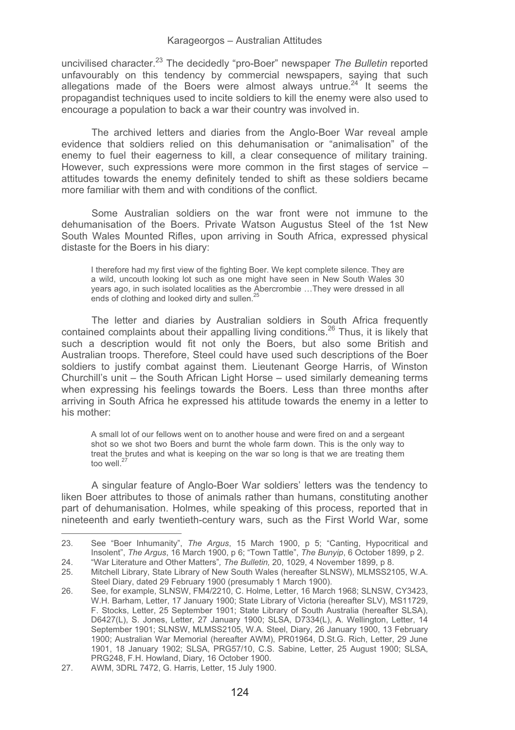uncivilised character.23 The decidedly "pro-Boer" newspaper *The Bulletin* reported unfavourably on this tendency by commercial newspapers, saying that such allegations made of the Boers were almost always untrue.<sup>24</sup> It seems the propagandist techniques used to incite soldiers to kill the enemy were also used to encourage a population to back a war their country was involved in.

The archived letters and diaries from the Anglo-Boer War reveal ample evidence that soldiers relied on this dehumanisation or "animalisation" of the enemy to fuel their eagerness to kill, a clear consequence of military training. However, such expressions were more common in the first stages of service – attitudes towards the enemy definitely tended to shift as these soldiers became more familiar with them and with conditions of the conflict.

Some Australian soldiers on the war front were not immune to the dehumanisation of the Boers. Private Watson Augustus Steel of the 1st New South Wales Mounted Rifles, upon arriving in South Africa, expressed physical distaste for the Boers in his diary:

I therefore had my first view of the fighting Boer. We kept complete silence. They are a wild, uncouth looking lot such as one might have seen in New South Wales 30 years ago, in such isolated localities as the Abercrombie …They were dressed in all ends of clothing and looked dirty and sullen.<sup>2</sup>

The letter and diaries by Australian soldiers in South Africa frequently contained complaints about their appalling living conditions.<sup>26</sup> Thus, it is likely that such a description would fit not only the Boers, but also some British and Australian troops. Therefore, Steel could have used such descriptions of the Boer soldiers to justify combat against them. Lieutenant George Harris, of Winston Churchill's unit – the South African Light Horse – used similarly demeaning terms when expressing his feelings towards the Boers. Less than three months after arriving in South Africa he expressed his attitude towards the enemy in a letter to his mother:

A small lot of our fellows went on to another house and were fired on and a sergeant shot so we shot two Boers and burnt the whole farm down. This is the only way to treat the brutes and what is keeping on the war so long is that we are treating them too well $^2$ 

A singular feature of Anglo-Boer War soldiers' letters was the tendency to liken Boer attributes to those of animals rather than humans, constituting another part of dehumanisation. Holmes, while speaking of this process, reported that in nineteenth and early twentieth-century wars, such as the First World War, some

L

<sup>23.</sup> See "Boer Inhumanity", *The Argus*, 15 March 1900, p 5; "Canting, Hypocritical and Insolent", *The Argus*, 16 March 1900, p 6; "Town Tattle", *The Bunyip*, 6 October 1899, p 2.

<sup>24. &</sup>quot;War Literature and Other Matters"*, The Bulletin,* 20, 1029, 4 November 1899, p 8.

<sup>25.</sup> Mitchell Library, State Library of New South Wales (hereafter SLNSW), MLMSS2105, W.A. Steel Diary, dated 29 February 1900 (presumably 1 March 1900).

<sup>26.</sup> See, for example, SLNSW, FM4/2210, C. Holme, Letter, 16 March 1968; SLNSW, CY3423, W.H. Barham, Letter, 17 January 1900; State Library of Victoria (hereafter SLV), MS11729, F. Stocks, Letter, 25 September 1901; State Library of South Australia (hereafter SLSA), D6427(L), S. Jones, Letter, 27 January 1900; SLSA, D7334(L), A. Wellington, Letter, 14 September 1901; SLNSW, MLMSS2105, W.A. Steel, Diary, 26 January 1900, 13 February 1900; Australian War Memorial (hereafter AWM), PR01964, D.St.G. Rich, Letter, 29 June 1901, 18 January 1902; SLSA, PRG57/10, C.S. Sabine, Letter, 25 August 1900; SLSA, PRG248, F.H. Howland, Diary, 16 October 1900.

<sup>27.</sup> AWM, 3DRL 7472, G. Harris, Letter, 15 July 1900.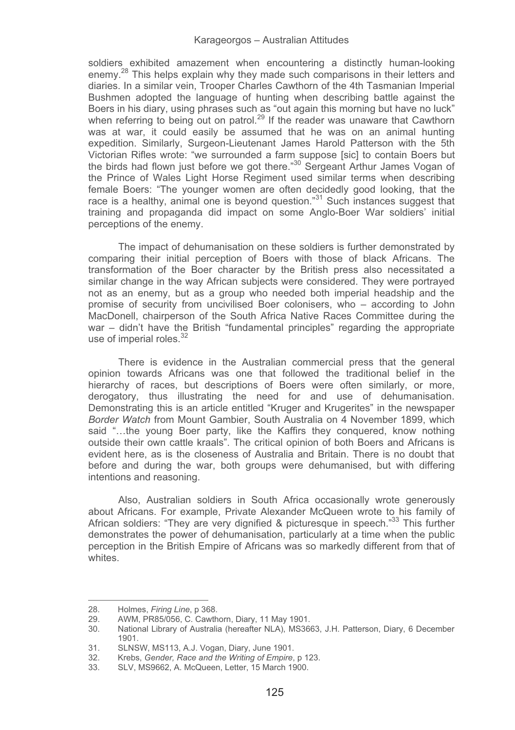soldiers exhibited amazement when encountering a distinctly human-looking enemy.<sup>28</sup> This helps explain why they made such comparisons in their letters and diaries. In a similar vein, Trooper Charles Cawthorn of the 4th Tasmanian Imperial Bushmen adopted the language of hunting when describing battle against the Boers in his diary, using phrases such as "out again this morning but have no luck" when referring to being out on patrol.<sup>29</sup> If the reader was unaware that Cawthorn was at war, it could easily be assumed that he was on an animal hunting expedition. Similarly, Surgeon-Lieutenant James Harold Patterson with the 5th Victorian Rifles wrote: "we surrounded a farm suppose [sic] to contain Boers but the birds had flown just before we got there."30 Sergeant Arthur James Vogan of the Prince of Wales Light Horse Regiment used similar terms when describing female Boers: "The younger women are often decidedly good looking, that the race is a healthy, animal one is beyond question."<sup>31</sup> Such instances suggest that training and propaganda did impact on some Anglo-Boer War soldiers' initial perceptions of the enemy.

The impact of dehumanisation on these soldiers is further demonstrated by comparing their initial perception of Boers with those of black Africans. The transformation of the Boer character by the British press also necessitated a similar change in the way African subjects were considered. They were portrayed not as an enemy, but as a group who needed both imperial headship and the promise of security from uncivilised Boer colonisers, who – according to John MacDonell, chairperson of the South Africa Native Races Committee during the war – didn't have the British "fundamental principles" regarding the appropriate use of imperial roles. $32$ 

There is evidence in the Australian commercial press that the general opinion towards Africans was one that followed the traditional belief in the hierarchy of races, but descriptions of Boers were often similarly, or more, derogatory, thus illustrating the need for and use of dehumanisation. Demonstrating this is an article entitled "Kruger and Krugerites" in the newspaper *Border Watch* from Mount Gambier, South Australia on 4 November 1899, which said "...the young Boer party, like the Kaffirs they conquered, know nothing outside their own cattle kraals". The critical opinion of both Boers and Africans is evident here, as is the closeness of Australia and Britain. There is no doubt that before and during the war, both groups were dehumanised, but with differing intentions and reasoning.

Also, Australian soldiers in South Africa occasionally wrote generously about Africans. For example, Private Alexander McQueen wrote to his family of African soldiers: "They are very dignified & picturesque in speech."<sup>33</sup> This further demonstrates the power of dehumanisation, particularly at a time when the public perception in the British Empire of Africans was so markedly different from that of whites.

<sup>28.</sup> Holmes, *Firing Line*, p 368.

<sup>29.</sup> AWM, PR85/056, C. Cawthorn, Diary, 11 May 1901.

<sup>30.</sup> National Library of Australia (hereafter NLA), MS3663, J.H. Patterson, Diary, 6 December 1901.

<sup>31.</sup> SLNSW, MS113, A.J. Vogan, Diary, June 1901.<br>32 Krebs Gender. Race and the Writing of Empire.

<sup>32.</sup> Krebs, *Gender, Race and the Writing of Empire*, p 123.

<sup>33.</sup> SLV, MS9662, A. McQueen, Letter, 15 March 1900.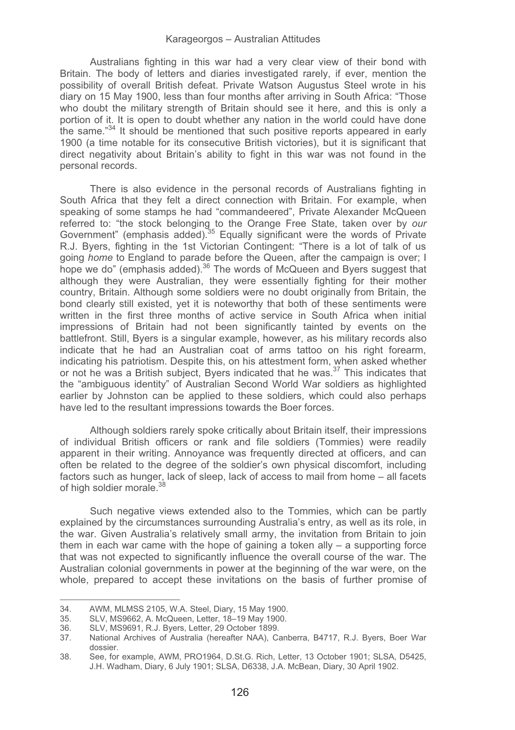Australians fighting in this war had a very clear view of their bond with Britain. The body of letters and diaries investigated rarely, if ever, mention the possibility of overall British defeat. Private Watson Augustus Steel wrote in his diary on 15 May 1900, less than four months after arriving in South Africa: "Those who doubt the military strength of Britain should see it here, and this is only a portion of it. It is open to doubt whether any nation in the world could have done the same."<sup>34</sup> It should be mentioned that such positive reports appeared in early 1900 (a time notable for its consecutive British victories), but it is significant that direct negativity about Britain's ability to fight in this war was not found in the personal records.

There is also evidence in the personal records of Australians fighting in South Africa that they felt a direct connection with Britain. For example, when speaking of some stamps he had "commandeered", Private Alexander McQueen referred to: "the stock belonging to the Orange Free State, taken over by *our*<br>Government" (emphasis added).<sup>35</sup> Equally significant were the words of Private R.J. Byers, fighting in the 1st Victorian Contingent: "There is a lot of talk of us going *home* to England to parade before the Queen, after the campaign is over; I hope we do" (emphasis added).<sup>36</sup> The words of McQueen and Byers suggest that although they were Australian, they were essentially fighting for their mother country, Britain. Although some soldiers were no doubt originally from Britain, the bond clearly still existed, yet it is noteworthy that both of these sentiments were written in the first three months of active service in South Africa when initial impressions of Britain had not been significantly tainted by events on the battlefront. Still, Byers is a singular example, however, as his military records also indicate that he had an Australian coat of arms tattoo on his right forearm, indicating his patriotism. Despite this, on his attestment form, when asked whether or not he was a British subject. Byers indicated that he was.<sup>37</sup> This indicates that the "ambiguous identity" of Australian Second World War soldiers as highlighted earlier by Johnston can be applied to these soldiers, which could also perhaps have led to the resultant impressions towards the Boer forces.

Although soldiers rarely spoke critically about Britain itself, their impressions of individual British officers or rank and file soldiers (Tommies) were readily apparent in their writing. Annoyance was frequently directed at officers, and can often be related to the degree of the soldier's own physical discomfort, including factors such as hunger, lack of sleep, lack of access to mail from home – all facets of high soldier morale.<sup>3</sup>

Such negative views extended also to the Tommies, which can be partly explained by the circumstances surrounding Australia's entry, as well as its role, in the war. Given Australia's relatively small army, the invitation from Britain to join them in each war came with the hope of gaining a token ally  $-$  a supporting force that was not expected to significantly influence the overall course of the war. The Australian colonial governments in power at the beginning of the war were, on the whole, prepared to accept these invitations on the basis of further promise of

֦

<sup>34.</sup> AWM, MLMSS 2105, W.A. Steel, Diary, 15 May 1900.

<sup>35.</sup> SLV, MS9662, A. McQueen, Letter, 18–19 May 1900.

<sup>36.</sup> SLV, MS9691, R.J. Byers, Letter, 29 October 1899.

National Archives of Australia (hereafter NAA), Canberra, B4717, R.J. Byers, Boer War dossier.

<sup>38.</sup> See, for example, AWM, PRO1964, D.St.G. Rich, Letter, 13 October 1901; SLSA, D5425, J.H. Wadham, Diary, 6 July 1901; SLSA, D6338, J.A. McBean, Diary, 30 April 1902.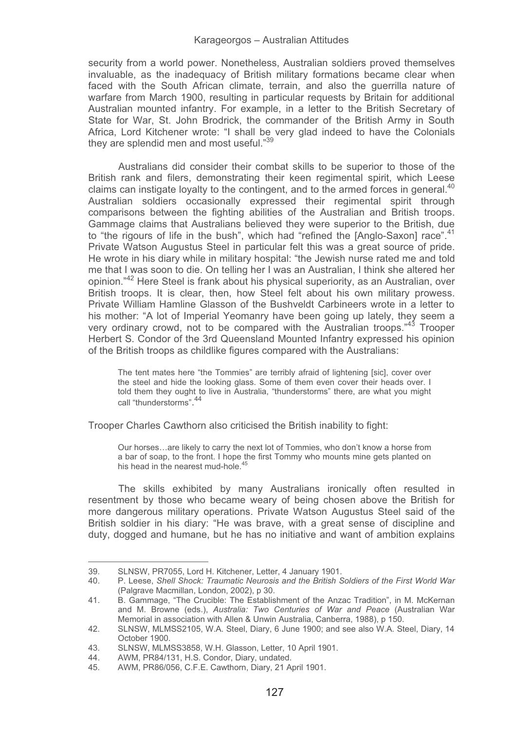security from a world power. Nonetheless, Australian soldiers proved themselves invaluable, as the inadequacy of British military formations became clear when faced with the South African climate, terrain, and also the guerrilla nature of warfare from March 1900, resulting in particular requests by Britain for additional Australian mounted infantry. For example, in a letter to the British Secretary of State for War, St. John Brodrick, the commander of the British Army in South Africa, Lord Kitchener wrote: "I shall be very glad indeed to have the Colonials they are splendid men and most useful."<sup>39</sup>

Australians did consider their combat skills to be superior to those of the British rank and filers, demonstrating their keen regimental spirit, which Leese claims can instigate loyalty to the contingent, and to the armed forces in general. $40$ Australian soldiers occasionally expressed their regimental spirit through comparisons between the fighting abilities of the Australian and British troops. Gammage claims that Australians believed they were superior to the British, due to "the rigours of life in the bush", which had "refined the [Anglo-Saxon] race".<sup>41</sup> Private Watson Augustus Steel in particular felt this was a great source of pride. He wrote in his diary while in military hospital: "the Jewish nurse rated me and told me that I was soon to die. On telling her I was an Australian, I think she altered her opinion."42 Here Steel is frank about his physical superiority, as an Australian, over British troops. It is clear, then, how Steel felt about his own military prowess. Private William Hamline Glasson of the Bushveldt Carbineers wrote in a letter to his mother: "A lot of Imperial Yeomanry have been going up lately, they seem a very ordinary crowd, not to be compared with the Australian troops.<sup>43</sup> Trooper Herbert S. Condor of the 3rd Queensland Mounted Infantry expressed his opinion of the British troops as childlike figures compared with the Australians:

The tent mates here "the Tommies" are terribly afraid of lightening [sic], cover over the steel and hide the looking glass. Some of them even cover their heads over. I told them they ought to live in Australia, "thunderstorms" there, are what you might call "thunderstorms". 44

Trooper Charles Cawthorn also criticised the British inability to fight:

Our horses…are likely to carry the next lot of Tommies, who don't know a horse from a bar of soap, to the front. I hope the first Tommy who mounts mine gets planted on his head in the nearest mud-hole.<sup>45</sup>

The skills exhibited by many Australians ironically often resulted in resentment by those who became weary of being chosen above the British for more dangerous military operations. Private Watson Augustus Steel said of the British soldier in his diary: "He was brave, with a great sense of discipline and duty, dogged and humane, but he has no initiative and want of ambition explains

<sup>39.</sup> SLNSW, PR7055, Lord H. Kitchener, Letter, 4 January 1901.

<sup>40.</sup> P. Leese, *Shell Shock: Traumatic Neurosis and the British Soldiers of the First World War* (Palgrave Macmillan, London, 2002), p 30.

<sup>41.</sup> B. Gammage, "The Crucible: The Establishment of the Anzac Tradition", in M. McKernan and M. Browne (eds.), *Australia: Two Centuries of War and Peace* (Australian War Memorial in association with Allen & Unwin Australia, Canberra, 1988), p 150.

<sup>42.</sup> SLNSW, MLMSS2105, W.A. Steel, Diary, 6 June 1900; and see also W.A. Steel, Diary, 14 October 1900.

<sup>43.</sup> SLNSW, MLMSS3858, W.H. Glasson, Letter, 10 April 1901.<br>44. AWM PR84/131 H.S. Condor Diary undated

<sup>44.</sup> AWM, PR84/131, H.S. Condor, Diary, undated.

<sup>45.</sup> AWM, PR86/056, C.F.E. Cawthorn, Diary, 21 April 1901.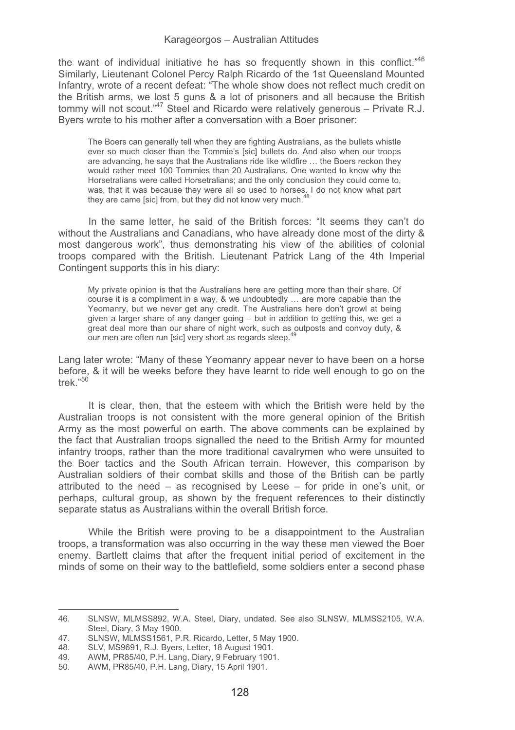the want of individual initiative he has so frequently shown in this conflict." $46$ Similarly, Lieutenant Colonel Percy Ralph Ricardo of the 1st Queensland Mounted Infantry, wrote of a recent defeat: "The whole show does not reflect much credit on the British arms, we lost 5 guns & a lot of prisoners and all because the British tommy will not scout."<sup>47</sup> Steel and Ricardo were relatively generous - Private R.J. Byers wrote to his mother after a conversation with a Boer prisoner:

The Boers can generally tell when they are fighting Australians, as the bullets whistle ever so much closer than the Tommie's [sic] bullets do. And also when our troops are advancing, he says that the Australians ride like wildfire … the Boers reckon they would rather meet 100 Tommies than 20 Australians. One wanted to know why the Horsetralians were called Horsetralians; and the only conclusion they could come to, was, that it was because they were all so used to horses. I do not know what part they are came [sic] from, but they did not know very much.<sup>48</sup>

In the same letter, he said of the British forces: "It seems they can't do without the Australians and Canadians, who have already done most of the dirty & most dangerous work", thus demonstrating his view of the abilities of colonial troops compared with the British. Lieutenant Patrick Lang of the 4th Imperial Contingent supports this in his diary:

My private opinion is that the Australians here are getting more than their share. Of course it is a compliment in a way, & we undoubtedly … are more capable than the Yeomanry, but we never get any credit. The Australians here don't growl at being given a larger share of any danger going – but in addition to getting this, we get a great deal more than our share of night work, such as outposts and convoy duty, & our men are often run [sic] very short as regards sleep.<sup>4</sup>

Lang later wrote: "Many of these Yeomanry appear never to have been on a horse before, & it will be weeks before they have learnt to ride well enough to go on the trek."50

It is clear, then, that the esteem with which the British were held by the Australian troops is not consistent with the more general opinion of the British Army as the most powerful on earth. The above comments can be explained by the fact that Australian troops signalled the need to the British Army for mounted infantry troops, rather than the more traditional cavalrymen who were unsuited to the Boer tactics and the South African terrain. However, this comparison by Australian soldiers of their combat skills and those of the British can be partly attributed to the need  $-$  as recognised by Leese  $-$  for pride in one's unit, or perhaps, cultural group, as shown by the frequent references to their distinctly separate status as Australians within the overall British force.

While the British were proving to be a disappointment to the Australian troops, a transformation was also occurring in the way these men viewed the Boer enemy. Bartlett claims that after the frequent initial period of excitement in the minds of some on their way to the battlefield, some soldiers enter a second phase

L

<sup>46.</sup> SLNSW, MLMSS892, W.A. Steel, Diary, undated. See also SLNSW, MLMSS2105, W.A. Steel, Diary, 3 May 1900.

<sup>47.</sup> SLNSW, MLMSS1561, P.R. Ricardo, Letter, 5 May 1900.<br>48. SLV. MS9691. R.J. Byers, Letter, 18 August 1901.

<sup>48.</sup> SLV, MS9691, R.J. Byers, Letter, 18 August 1901.

<sup>49.</sup> AWM, PR85/40, P.H. Lang, Diary, 9 February 1901.<br>50 AWM PR85/40 P.H. Lang, Diary, 15 April 1901.

<sup>50.</sup> AWM, PR85/40, P.H. Lang, Diary, 15 April 1901.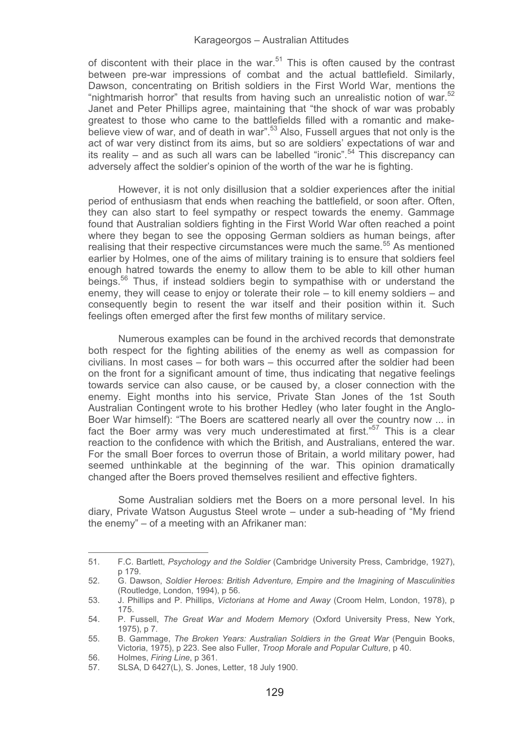of discontent with their place in the war. $51$  This is often caused by the contrast between pre-war impressions of combat and the actual battlefield. Similarly, Dawson, concentrating on British soldiers in the First World War, mentions the "nightmarish horror" that results from having such an unrealistic notion of war.<sup>52</sup> Janet and Peter Phillips agree, maintaining that "the shock of war was probably greatest to those who came to the battlefields filled with a romantic and makebelieve view of war, and of death in war<sup>", 53</sup> Also, Fussell argues that not only is the act of war very distinct from its aims, but so are soldiers' expectations of war and its reality – and as such all wars can be labelled "ironic".<sup>54</sup> This discrepancy can adversely affect the soldier's opinion of the worth of the war he is fighting.

However, it is not only disillusion that a soldier experiences after the initial period of enthusiasm that ends when reaching the battlefield, or soon after. Often, they can also start to feel sympathy or respect towards the enemy. Gammage found that Australian soldiers fighting in the First World War often reached a point where they began to see the opposing German soldiers as human beings, after realising that their respective circumstances were much the same.<sup>55</sup> As mentioned earlier by Holmes, one of the aims of military training is to ensure that soldiers feel enough hatred towards the enemy to allow them to be able to kill other human beings.56 Thus, if instead soldiers begin to sympathise with or understand the enemy, they will cease to enjoy or tolerate their role – to kill enemy soldiers – and consequently begin to resent the war itself and their position within it. Such feelings often emerged after the first few months of military service.

Numerous examples can be found in the archived records that demonstrate both respect for the fighting abilities of the enemy as well as compassion for civilians. In most cases – for both wars – this occurred after the soldier had been on the front for a significant amount of time, thus indicating that negative feelings towards service can also cause, or be caused by, a closer connection with the enemy. Eight months into his service, Private Stan Jones of the 1st South Australian Contingent wrote to his brother Hedley (who later fought in the Anglo-Boer War himself): "The Boers are scattered nearly all over the country now ... in fact the Boer army was very much underestimated at first." $57$  This is a clear reaction to the confidence with which the British, and Australians, entered the war. For the small Boer forces to overrun those of Britain, a world military power, had seemed unthinkable at the beginning of the war. This opinion dramatically changed after the Boers proved themselves resilient and effective fighters.

Some Australian soldiers met the Boers on a more personal level. In his diary, Private Watson Augustus Steel wrote – under a sub-heading of "My friend the enemy" – of a meeting with an Afrikaner man:

<sup>51.</sup> F.C. Bartlett, *Psychology and the Soldier* (Cambridge University Press, Cambridge, 1927), p 179.

<sup>52.</sup> G. Dawson, *Soldier Heroes: British Adventure, Empire and the Imagining of Masculinities* (Routledge, London, 1994), p 56.

<sup>53.</sup> J. Phillips and P. Phillips, *Victorians at Home and Away* (Croom Helm, London, 1978), p 175.

<sup>54.</sup> P. Fussell, *The Great War and Modern Memory* (Oxford University Press, New York, 1975), p 7.

<sup>55.</sup> B. Gammage, *The Broken Years: Australian Soldiers in the Great War* (Penguin Books, Victoria, 1975), p 223. See also Fuller, *Troop Morale and Popular Culture*, p 40.

<sup>56.</sup> Holmes, *Firing Line*, p 361.

SLSA, D 6427(L), S. Jones, Letter, 18 July 1900.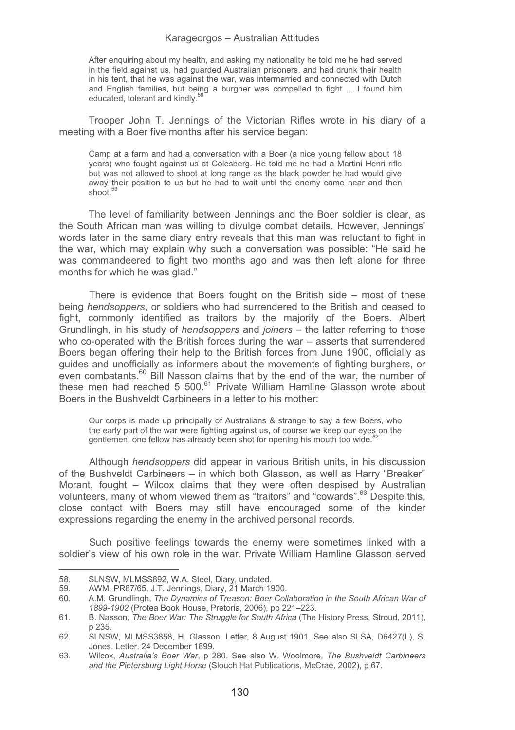After enquiring about my health, and asking my nationality he told me he had served in the field against us, had guarded Australian prisoners, and had drunk their health in his tent, that he was against the war, was intermarried and connected with Dutch and English families, but being a burgher was compelled to fight ... I found him educated, tolerant and kindly.<sup>5</sup>

Trooper John T. Jennings of the Victorian Rifles wrote in his diary of a meeting with a Boer five months after his service began:

Camp at a farm and had a conversation with a Boer (a nice young fellow about 18 years) who fought against us at Colesberg. He told me he had a Martini Henri rifle but was not allowed to shoot at long range as the black powder he had would give away their position to us but he had to wait until the enemy came near and then shoot.<sup>59</sup>

The level of familiarity between Jennings and the Boer soldier is clear, as the South African man was willing to divulge combat details. However, Jennings' words later in the same diary entry reveals that this man was reluctant to fight in the war, which may explain why such a conversation was possible: "He said he was commandeered to fight two months ago and was then left alone for three months for which he was glad."

There is evidence that Boers fought on the British side – most of these being *hendsoppers*, or soldiers who had surrendered to the British and ceased to fight, commonly identified as traitors by the majority of the Boers. Albert Grundlingh, in his study of *hendsoppers* and *joiners* – the latter referring to those who co-operated with the British forces during the war – asserts that surrendered Boers began offering their help to the British forces from June 1900, officially as guides and unofficially as informers about the movements of fighting burghers, or even combatants.<sup>60</sup> Bill Nasson claims that by the end of the war, the number of these men had reached 5 500<sup>.61</sup> Private William Hamline Glasson wrote about Boers in the Bushveldt Carbineers in a letter to his mother:

Our corps is made up principally of Australians & strange to say a few Boers, who the early part of the war were fighting against us, of course we keep our eyes on the gentlemen, one fellow has already been shot for opening his mouth too wide.<sup>62</sup>

Although *hendsoppers* did appear in various British units, in his discussion of the Bushveldt Carbineers – in which both Glasson, as well as Harry "Breaker" Morant, fought – Wilcox claims that they were often despised by Australian volunteers, many of whom viewed them as "traitors" and "cowards".<sup>63</sup> Despite this, close contact with Boers may still have encouraged some of the kinder expressions regarding the enemy in the archived personal records.

Such positive feelings towards the enemy were sometimes linked with a soldier's view of his own role in the war. Private William Hamline Glasson served

֦

<sup>58.</sup> SLNSW, MLMSS892, W.A. Steel, Diary, undated.<br>59. AWM PR87/65 J.T. Jennings Diary 21 March 19

<sup>59.</sup> AWM, PR87/65, J.T. Jennings, Diary, 21 March 1900.

<sup>60.</sup> A.M. Grundlingh, *The Dynamics of Treason: Boer Collaboration in the South African War of 1899-1902* (Protea Book House, Pretoria, 2006), pp 221–223.

<sup>61.</sup> B. Nasson, *The Boer War: The Struggle for South Africa* (The History Press, Stroud, 2011), p 235.

<sup>62.</sup> SLNSW, MLMSS3858, H. Glasson, Letter, 8 August 1901. See also SLSA, D6427(L), S. Jones, Letter, 24 December 1899.

<sup>63.</sup> Wilcox, *Australia's Boer War*, p 280. See also W. Woolmore, *The Bushveldt Carbineers and the Pietersburg Light Horse* (Slouch Hat Publications, McCrae, 2002), p 67.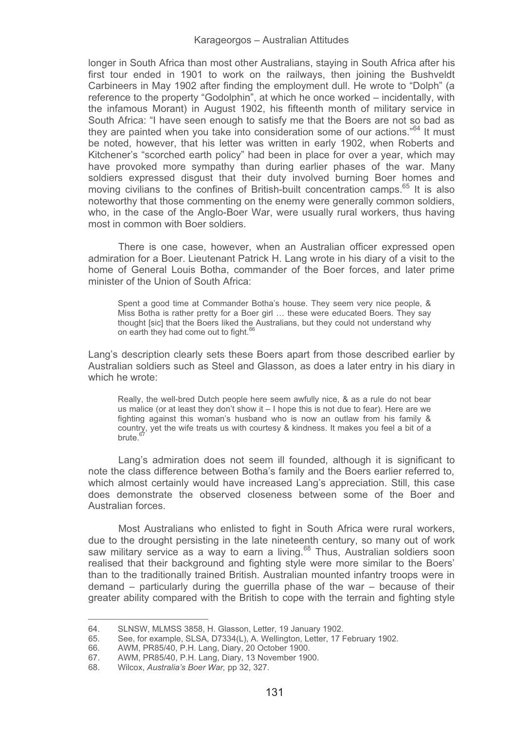longer in South Africa than most other Australians, staying in South Africa after his first tour ended in 1901 to work on the railways, then joining the Bushveldt Carbineers in May 1902 after finding the employment dull. He wrote to "Dolph" (a reference to the property "Godolphin", at which he once worked – incidentally, with the infamous Morant) in August 1902, his fifteenth month of military service in South Africa: "I have seen enough to satisfy me that the Boers are not so bad as they are painted when you take into consideration some of our actions."64 It must be noted, however, that his letter was written in early 1902, when Roberts and Kitchener's "scorched earth policy" had been in place for over a year, which may have provoked more sympathy than during earlier phases of the war. Many soldiers expressed disgust that their duty involved burning Boer homes and moving civilians to the confines of British-built concentration camps.<sup>65</sup> It is also noteworthy that those commenting on the enemy were generally common soldiers, who, in the case of the Anglo-Boer War, were usually rural workers, thus having most in common with Boer soldiers.

There is one case, however, when an Australian officer expressed open admiration for a Boer. Lieutenant Patrick H. Lang wrote in his diary of a visit to the home of General Louis Botha, commander of the Boer forces, and later prime minister of the Union of South Africa:

Spent a good time at Commander Botha's house. They seem very nice people, & Miss Botha is rather pretty for a Boer girl … these were educated Boers. They say thought [sic] that the Boers liked the Australians, but they could not understand why on earth they had come out to fight.<sup>66</sup>

Lang's description clearly sets these Boers apart from those described earlier by Australian soldiers such as Steel and Glasson, as does a later entry in his diary in which he wrote:

Really, the well-bred Dutch people here seem awfully nice, & as a rule do not bear us malice (or at least they don't show it – I hope this is not due to fear). Here are we fighting against this woman's husband who is now an outlaw from his family & country, yet the wife treats us with courtesy & kindness. It makes you feel a bit of a brute.<sup>6</sup>

Lang's admiration does not seem ill founded, although it is significant to note the class difference between Botha's family and the Boers earlier referred to, which almost certainly would have increased Lang's appreciation. Still, this case does demonstrate the observed closeness between some of the Boer and Australian forces.

Most Australians who enlisted to fight in South Africa were rural workers, due to the drought persisting in the late nineteenth century, so many out of work saw military service as a way to earn a living.<sup>68</sup> Thus, Australian soldiers soon realised that their background and fighting style were more similar to the Boers' than to the traditionally trained British. Australian mounted infantry troops were in demand – particularly during the guerrilla phase of the war – because of their greater ability compared with the British to cope with the terrain and fighting style

<sup>64.</sup> SLNSW, MLMSS 3858, H. Glasson, Letter, 19 January 1902.<br>65. See. for example. SLSA, D7334(L), A. Wellington, Letter, 17 F

<sup>65.</sup> See, for example, SLSA, D7334(L), A. Wellington, Letter, 17 February 1902.

<sup>66.</sup> AWM, PR85/40, P.H. Lang, Diary, 20 October 1900.

<sup>67.</sup> AWM, PR85/40, P.H. Lang, Diary, 13 November 1900.<br>68. Wilcox. Australia's Boer War. pp 32, 327.

<sup>68.</sup> Wilcox, *Australia's Boer War,* pp 32, 327.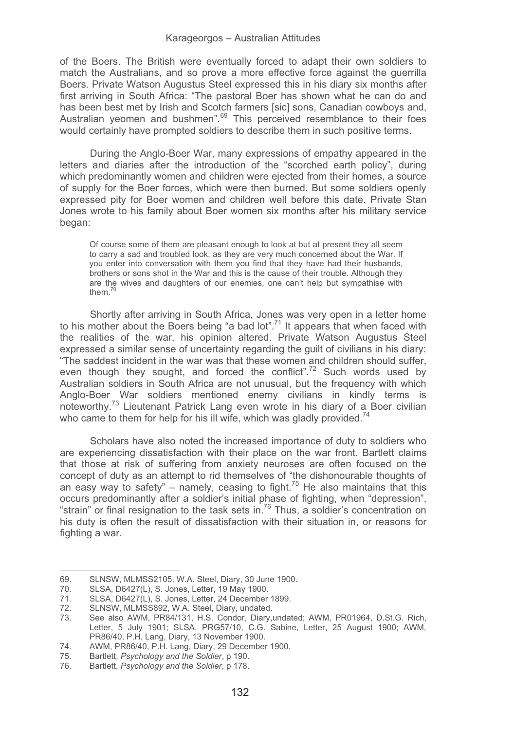of the Boers. The British were eventually forced to adapt their own soldiers to match the Australians, and so prove a more effective force against the guerrilla Boers. Private Watson Augustus Steel expressed this in his diary six months after first arriving in South Africa: "The pastoral Boer has shown what he can do and has been best met by Irish and Scotch farmers [sic] sons, Canadian cowboys and, Australian yeomen and bushmen".<sup>69</sup> This perceived resemblance to their foes would certainly have prompted soldiers to describe them in such positive terms.

During the Anglo-Boer War, many expressions of empathy appeared in the letters and diaries after the introduction of the "scorched earth policy", during which predominantly women and children were ejected from their homes, a source of supply for the Boer forces, which were then burned. But some soldiers openly expressed pity for Boer women and children well before this date. Private Stan Jones wrote to his family about Boer women six months after his military service began:

Of course some of them are pleasant enough to look at but at present they all seem to carry a sad and troubled look, as they are very much concerned about the War. If you enter into conversation with them you find that they have had their husbands, brothers or sons shot in the War and this is the cause of their trouble. Although they are the wives and daughters of our enemies, one can't help but sympathise with them.<sup>7</sup>

Shortly after arriving in South Africa, Jones was very open in a letter home to his mother about the Boers being "a bad lot".<sup>71</sup> It appears that when faced with the realities of the war, his opinion altered. Private Watson Augustus Steel expressed a similar sense of uncertainty regarding the guilt of civilians in his diary: "The saddest incident in the war was that these women and children should suffer, even though they sought, and forced the conflict".<sup>72</sup> Such words used by Australian soldiers in South Africa are not unusual, but the frequency with which Anglo-Boer War soldiers mentioned enemy civilians in kindly terms is noteworthy.73 Lieutenant Patrick Lang even wrote in his diary of a Boer civilian who came to them for help for his ill wife, which was gladly provided.<sup>74</sup>

Scholars have also noted the increased importance of duty to soldiers who are experiencing dissatisfaction with their place on the war front. Bartlett claims that those at risk of suffering from anxiety neuroses are often focused on the concept of duty as an attempt to rid themselves of "the dishonourable thoughts of an easy way to safety" – namely, ceasing to fight.<sup>75</sup> He also maintains that this occurs predominantly after a soldier's initial phase of fighting, when "depression", "strain" or final resignation to the task sets in.<sup>76</sup> Thus, a soldier's concentration on his duty is often the result of dissatisfaction with their situation in, or reasons for fighting a war.

֦

<sup>69.</sup> SLNSW, MLMSS2105, W.A. Steel, Diary, 30 June 1900.<br>70 SLSA D6427(L) S. Jones Letter 19 May 1900.

<sup>70.</sup> SLSA, D6427(L), S. Jones, Letter, 19 May 1900.

<sup>71.</sup> SLSA, D6427(L), S. Jones, Letter, 24 December 1899.<br>72. SLNSW. MLMSS892. W.A. Steel. Diary. undated.

<sup>72.</sup> SLNSW, MLMSS892, W.A. Steel, Diary, undated.

See also AWM, PR84/131, H.S. Condor, Diary,undated; AWM, PR01964, D.St.G. Rich, Letter, 5 July 1901; SLSA, PRG57/10, C.G. Sabine, Letter, 25 August 1900; AWM, PR86/40, P.H. Lang, Diary, 13 November 1900.

<sup>74.</sup> AWM, PR86/40, P.H. Lang, Diary, 29 December 1900.<br>75 Bartlett, Psychology and the Soldier, p. 190.

<sup>75.</sup> Bartlett, *Psychology and the Soldier*, p 190.

<sup>76.</sup> Bartlett, *Psychology and the Soldier*, p 178.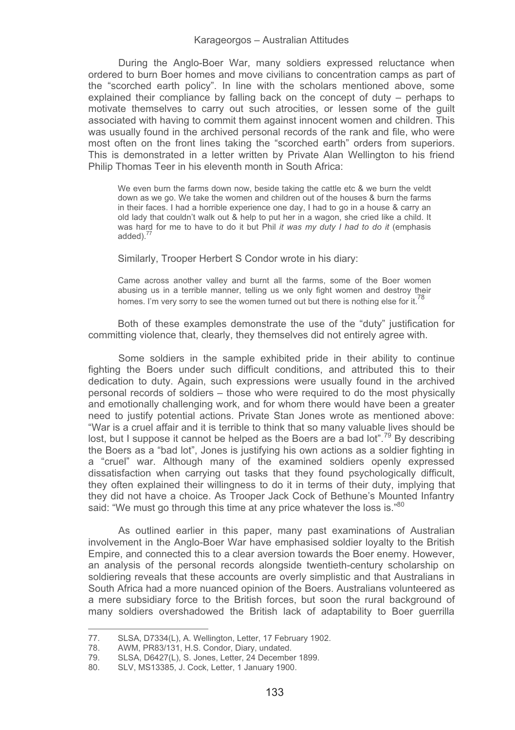During the Anglo-Boer War, many soldiers expressed reluctance when ordered to burn Boer homes and move civilians to concentration camps as part of the "scorched earth policy". In line with the scholars mentioned above, some explained their compliance by falling back on the concept of duty – perhaps to motivate themselves to carry out such atrocities, or lessen some of the guilt associated with having to commit them against innocent women and children. This was usually found in the archived personal records of the rank and file, who were most often on the front lines taking the "scorched earth" orders from superiors. This is demonstrated in a letter written by Private Alan Wellington to his friend Philip Thomas Teer in his eleventh month in South Africa:

We even burn the farms down now, beside taking the cattle etc & we burn the veldt down as we go. We take the women and children out of the houses & burn the farms in their faces. I had a horrible experience one day, I had to go in a house & carry an old lady that couldn't walk out & help to put her in a wagon, she cried like a child. It was hard for me to have to do it but Phil *it was my duty I had to do it* (emphasis added)<sup>77</sup>

Similarly, Trooper Herbert S Condor wrote in his diary:

Came across another valley and burnt all the farms, some of the Boer women abusing us in a terrible manner, telling us we only fight women and destroy their homes. I'm very sorry to see the women turned out but there is nothing else for it.<sup>78</sup>

Both of these examples demonstrate the use of the "duty" justification for committing violence that, clearly, they themselves did not entirely agree with.

Some soldiers in the sample exhibited pride in their ability to continue fighting the Boers under such difficult conditions, and attributed this to their dedication to duty. Again, such expressions were usually found in the archived personal records of soldiers – those who were required to do the most physically and emotionally challenging work, and for whom there would have been a greater need to justify potential actions. Private Stan Jones wrote as mentioned above: "War is a cruel affair and it is terrible to think that so many valuable lives should be lost, but I suppose it cannot be helped as the Boers are a bad lot".<sup>79</sup> By describing the Boers as a "bad lot", Jones is justifying his own actions as a soldier fighting in a "cruel" war. Although many of the examined soldiers openly expressed dissatisfaction when carrying out tasks that they found psychologically difficult, they often explained their willingness to do it in terms of their duty, implying that they did not have a choice. As Trooper Jack Cock of Bethune's Mounted Infantry said: "We must go through this time at any price whatever the loss is."<sup>80</sup>

As outlined earlier in this paper, many past examinations of Australian involvement in the Anglo-Boer War have emphasised soldier loyalty to the British Empire, and connected this to a clear aversion towards the Boer enemy. However, an analysis of the personal records alongside twentieth-century scholarship on soldiering reveals that these accounts are overly simplistic and that Australians in South Africa had a more nuanced opinion of the Boers. Australians volunteered as a mere subsidiary force to the British forces, but soon the rural background of many soldiers overshadowed the British lack of adaptability to Boer guerrilla

<sup>77.</sup> SLSA, D7334(L), A. Wellington, Letter, 17 February 1902.<br>78. AWM PR83/131 H.S. Condor, Diary undated

<sup>78.</sup> AWM, PR83/131, H.S. Condor, Diary, undated.<br>79. SLSA D6427(L) S. Jones Letter 24 December

<sup>79.</sup> SLSA, D6427(L), S. Jones, Letter, 24 December 1899.

<sup>80.</sup> SLV, MS13385, J. Cock, Letter, 1 January 1900.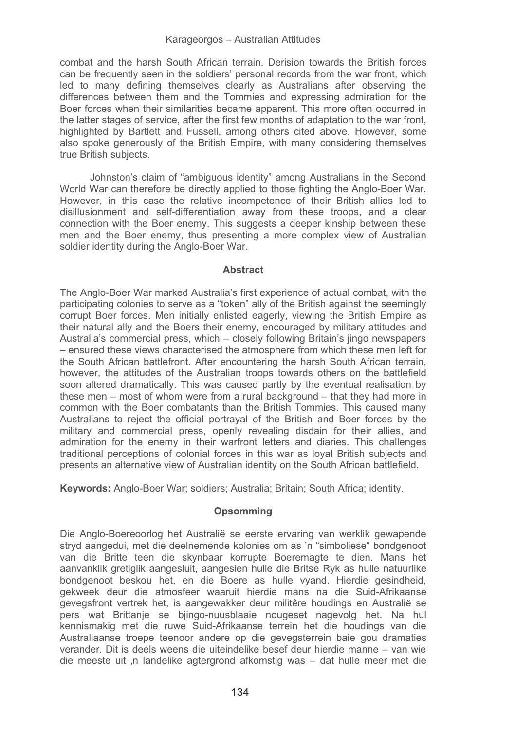combat and the harsh South African terrain. Derision towards the British forces can be frequently seen in the soldiers' personal records from the war front, which led to many defining themselves clearly as Australians after observing the differences between them and the Tommies and expressing admiration for the Boer forces when their similarities became apparent. This more often occurred in the latter stages of service, after the first few months of adaptation to the war front, highlighted by Bartlett and Fussell, among others cited above. However, some also spoke generously of the British Empire, with many considering themselves true British subjects.

Johnston's claim of "ambiguous identity" among Australians in the Second World War can therefore be directly applied to those fighting the Anglo-Boer War. However, in this case the relative incompetence of their British allies led to disillusionment and self-differentiation away from these troops, and a clear connection with the Boer enemy. This suggests a deeper kinship between these men and the Boer enemy, thus presenting a more complex view of Australian soldier identity during the Anglo-Boer War.

## **Abstract**

The Anglo-Boer War marked Australia's first experience of actual combat, with the participating colonies to serve as a "token" ally of the British against the seemingly corrupt Boer forces. Men initially enlisted eagerly, viewing the British Empire as their natural ally and the Boers their enemy, encouraged by military attitudes and Australia's commercial press, which – closely following Britain's jingo newspapers – ensured these views characterised the atmosphere from which these men left for the South African battlefront. After encountering the harsh South African terrain, however, the attitudes of the Australian troops towards others on the battlefield soon altered dramatically. This was caused partly by the eventual realisation by these men – most of whom were from a rural background – that they had more in common with the Boer combatants than the British Tommies. This caused many Australians to reject the official portrayal of the British and Boer forces by the military and commercial press, openly revealing disdain for their allies, and admiration for the enemy in their warfront letters and diaries. This challenges traditional perceptions of colonial forces in this war as loyal British subjects and presents an alternative view of Australian identity on the South African battlefield.

**Keywords:** Anglo-Boer War; soldiers; Australia; Britain; South Africa; identity.

## **Opsomming**

Die Anglo-Boereoorlog het Australië se eerste ervaring van werklik gewapende stryd aangedui, met die deelnemende kolonies om as 'n "simboliese" bondgenoot van die Britte teen die skynbaar korrupte Boeremagte te dien. Mans het aanvanklik gretiglik aangesluit, aangesien hulle die Britse Ryk as hulle natuurlike bondgenoot beskou het, en die Boere as hulle vyand. Hierdie gesindheid, gekweek deur die atmosfeer waaruit hierdie mans na die Suid-Afrikaanse gevegsfront vertrek het, is aangewakker deur militêre houdings en Australië se pers wat Brittanje se bjingo-nuusblaaie nougeset nagevolg het. Na hul kennismakig met die ruwe Suid-Afrikaanse terrein het die houdings van die Australiaanse troepe teenoor andere op die gevegsterrein baie gou dramaties verander. Dit is deels weens die uiteindelike besef deur hierdie manne – van wie die meeste uit 'n landelike agtergrond afkomstig was – dat hulle meer met die